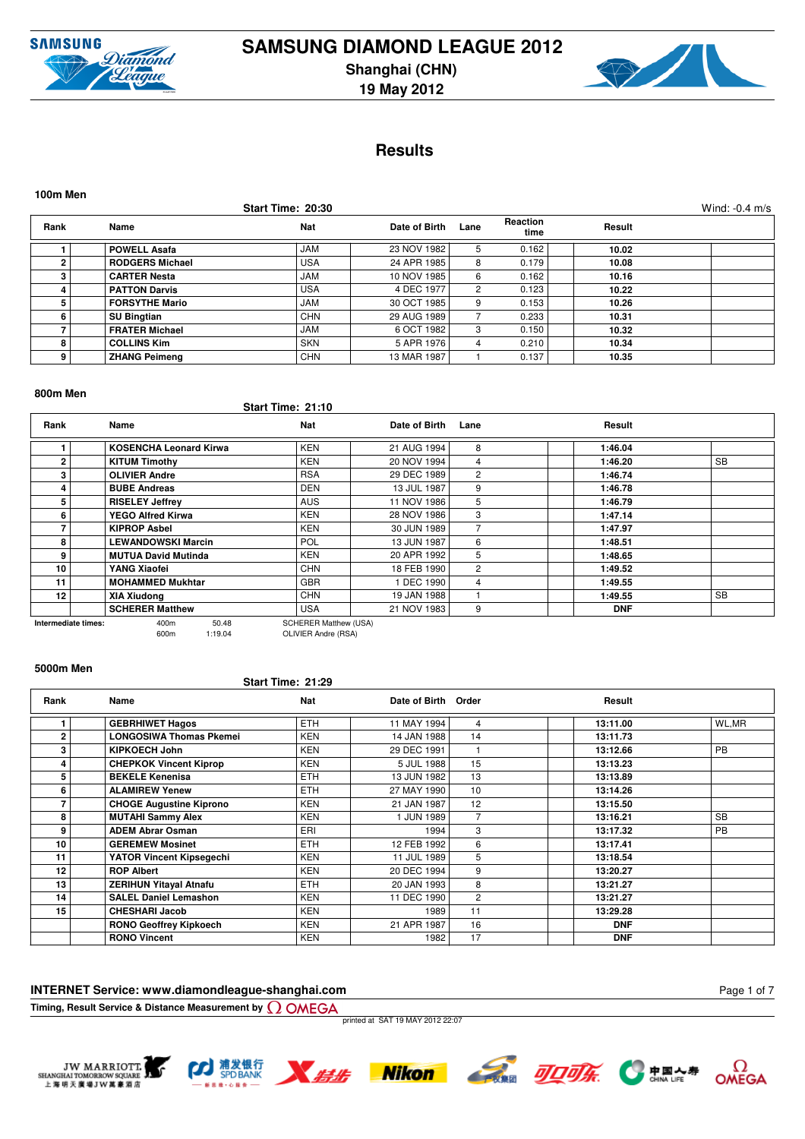



# **Results**

| 100m Men |                        |                   |               |      |                  |        |                  |
|----------|------------------------|-------------------|---------------|------|------------------|--------|------------------|
|          |                        | Start Time: 20:30 |               |      |                  |        | Wind: $-0.4$ m/s |
| Rank     | Name                   | <b>Nat</b>        | Date of Birth | Lane | Reaction<br>time | Result |                  |
|          | <b>POWELL Asafa</b>    | <b>JAM</b>        | 23 NOV 1982   | 5.   | 0.162            | 10.02  |                  |
| 2        | <b>RODGERS Michael</b> | <b>USA</b>        | 24 APR 1985   | 8    | 0.179            | 10.08  |                  |
| 3        | <b>CARTER Nesta</b>    | <b>JAM</b>        | 10 NOV 1985   | 6    | 0.162            | 10.16  |                  |
| 4        | <b>PATTON Darvis</b>   | <b>USA</b>        | 4 DEC 1977    | 2    | 0.123            | 10.22  |                  |
| 5        | <b>FORSYTHE Mario</b>  | <b>JAM</b>        | 30 OCT 1985   | 9    | 0.153            | 10.26  |                  |
| 6        | <b>SU Bingtian</b>     | <b>CHN</b>        | 29 AUG 1989   |      | 0.233            | 10.31  |                  |
|          | <b>FRATER Michael</b>  | <b>JAM</b>        | 6 OCT 1982    | 3    | 0.150            | 10.32  |                  |
| 8        | <b>COLLINS Kim</b>     | <b>SKN</b>        | 5 APR 1976    | 4    | 0.210            | 10.34  |                  |
| 9        | <b>ZHANG Peimeng</b>   | <b>CHN</b>        | 13 MAR 1987   |      | 0.137            | 10.35  |                  |

#### **800m Men**

**Start Time: 21:10**

| Rank            | Name                                                                 | <b>Nat</b> | Date of Birth | Lane           | Result     |           |  |  |  |  |  |
|-----------------|----------------------------------------------------------------------|------------|---------------|----------------|------------|-----------|--|--|--|--|--|
|                 | <b>KOSENCHA Leonard Kirwa</b>                                        | <b>KEN</b> | 21 AUG 1994   | 8              | 1:46.04    |           |  |  |  |  |  |
| $\overline{2}$  | <b>KITUM Timothy</b>                                                 | <b>KEN</b> | 20 NOV 1994   | 4              | 1:46.20    | <b>SB</b> |  |  |  |  |  |
| 3               | <b>OLIVIER Andre</b>                                                 | <b>RSA</b> | 29 DEC 1989   | $\overline{2}$ | 1:46.74    |           |  |  |  |  |  |
|                 | <b>BUBE Andreas</b>                                                  | <b>DEN</b> | 13 JUL 1987   | 9              | 1:46.78    |           |  |  |  |  |  |
| 5               | <b>RISELEY Jeffrey</b>                                               | <b>AUS</b> | 11 NOV 1986   | 5              | 1:46.79    |           |  |  |  |  |  |
| 6               | <b>YEGO Alfred Kirwa</b>                                             | <b>KEN</b> | 28 NOV 1986   | 3              | 1:47.14    |           |  |  |  |  |  |
|                 | <b>KIPROP Asbel</b>                                                  | <b>KEN</b> | 30 JUN 1989   |                | 1:47.97    |           |  |  |  |  |  |
| 8               | <b>LEWANDOWSKI Marcin</b>                                            | POL        | 13 JUN 1987   | 6              | 1:48.51    |           |  |  |  |  |  |
| 9               | <b>MUTUA David Mutinda</b>                                           | <b>KEN</b> | 20 APR 1992   | 5              | 1:48.65    |           |  |  |  |  |  |
| 10              | YANG Xiaofei                                                         | <b>CHN</b> | 18 FEB 1990   | 2              | 1:49.52    |           |  |  |  |  |  |
| 11              | <b>MOHAMMED Mukhtar</b>                                              | <b>GBR</b> | 1 DEC 1990    | 4              | 1:49.55    |           |  |  |  |  |  |
| 12 <sub>1</sub> | XIA Xiudong                                                          | <b>CHN</b> | 19 JAN 1988   |                | 1:49.55    | <b>SB</b> |  |  |  |  |  |
|                 | <b>SCHERER Matthew</b>                                               | <b>USA</b> | 21 NOV 1983   | 9              | <b>DNF</b> |           |  |  |  |  |  |
|                 | 400m<br>50.48<br><b>SCHERER Matthew (USA)</b><br>Intermediate times: |            |               |                |            |           |  |  |  |  |  |

600m 1:19.04 OLIVIER Andre (RSA)

#### **5000m Men**

#### **Start Time: 21:29**

| Rank           | Name                           | Nat        | Date of Birth Order |                | Result     |           |
|----------------|--------------------------------|------------|---------------------|----------------|------------|-----------|
|                | <b>GEBRHIWET Hagos</b>         | <b>ETH</b> | 11 MAY 1994         | 4              | 13:11.00   | WL,MR     |
| $\overline{2}$ | <b>LONGOSIWA Thomas Pkemei</b> | <b>KEN</b> | 14 JAN 1988         | 14             | 13:11.73   |           |
| 3              | <b>KIPKOECH John</b>           | <b>KEN</b> | 29 DEC 1991         |                | 13:12.66   | <b>PB</b> |
| 4              | <b>CHEPKOK Vincent Kiprop</b>  | <b>KEN</b> | 5 JUL 1988          | 15             | 13:13.23   |           |
| 5              | <b>BEKELE Kenenisa</b>         | <b>ETH</b> | 13 JUN 1982         | 13             | 13:13.89   |           |
| 6              | <b>ALAMIREW Yenew</b>          | <b>ETH</b> | 27 MAY 1990         | 10             | 13:14.26   |           |
|                | <b>CHOGE Augustine Kiprono</b> | <b>KEN</b> | 21 JAN 1987         | 12             | 13:15.50   |           |
| 8              | <b>MUTAHI Sammy Alex</b>       | <b>KEN</b> | 1 JUN 1989          |                | 13:16.21   | <b>SB</b> |
| 9              | <b>ADEM Abrar Osman</b>        | ERI        | 1994                | 3              | 13:17.32   | <b>PB</b> |
| 10             | <b>GEREMEW Mosinet</b>         | <b>ETH</b> | 12 FEB 1992         | 6              | 13:17.41   |           |
| 11             | YATOR Vincent Kipsegechi       | <b>KEN</b> | 11 JUL 1989         | 5              | 13:18.54   |           |
| 12             | <b>ROP Albert</b>              | <b>KEN</b> | 20 DEC 1994         | 9              | 13:20.27   |           |
| 13             | <b>ZERIHUN Yitayal Atnafu</b>  | <b>ETH</b> | 20 JAN 1993         | 8              | 13:21.27   |           |
| 14             | <b>SALEL Daniel Lemashon</b>   | <b>KEN</b> | 11 DEC 1990         | $\overline{2}$ | 13:21.27   |           |
| 15             | <b>CHESHARI Jacob</b>          | <b>KEN</b> | 1989                | 11             | 13:29.28   |           |
|                | <b>RONO Geoffrey Kipkoech</b>  | <b>KEN</b> | 21 APR 1987         | 16             | <b>DNF</b> |           |
|                | <b>RONO Vincent</b>            | <b>KEN</b> | 1982                | 17             | <b>DNF</b> |           |

# **INTERNET Service: www.diamondleague-shanghai.com**

**Timing, Result Service & Distance Measurement by**

printed at SAT 19 MAY 2012 22:07











Page 1 of 7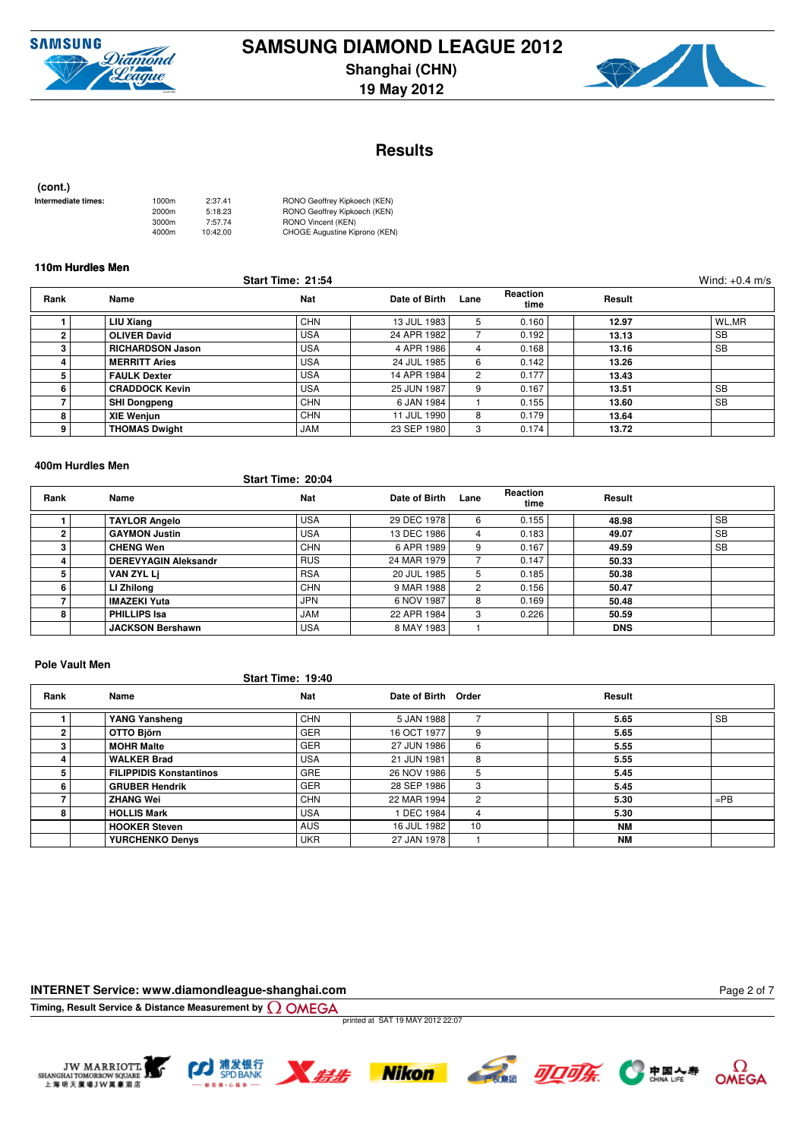



# **Results**

 **(cont.)**

| Intermediate times: | 1000m | 2:37.41  | RONO Geoffrey Kipkoech (KEN)  |
|---------------------|-------|----------|-------------------------------|
|                     | 2000m | 5:18.23  | RONO Geoffrey Kipkoech (KEN)  |
|                     | 3000m | 7:57.74  | RONO Vincent (KEN)            |
|                     | 4000m | 10:42.00 | CHOGE Augustine Kiprono (KEN) |

### **110m Hurdles Men**

|                |                         | <b>Start Time: 21:54</b> |               |      |                         |        | Wind: $+0.4$ m/s |
|----------------|-------------------------|--------------------------|---------------|------|-------------------------|--------|------------------|
| Rank           | Name                    | Nat                      | Date of Birth | Lane | <b>Reaction</b><br>time | Result |                  |
|                | LIU Xiang               | <b>CHN</b>               | 13 JUL 1983   | 5    | 0.160                   | 12.97  | WL,MR            |
| $\overline{2}$ | <b>OLIVER David</b>     | <b>USA</b>               | 24 APR 1982   |      | 0.192                   | 13.13  | <b>SB</b>        |
| 3              | <b>RICHARDSON Jason</b> | <b>USA</b>               | 4 APR 1986    | 4    | 0.168                   | 13.16  | <b>SB</b>        |
| -4.            | <b>MERRITT Aries</b>    | <b>USA</b>               | 24 JUL 1985   | 6    | 0.142                   | 13.26  |                  |
| 5              | <b>FAULK Dexter</b>     | <b>USA</b>               | 14 APR 1984   | 2    | 0.177                   | 13.43  |                  |
| 6              | <b>CRADDOCK Kevin</b>   | <b>USA</b>               | 25 JUN 1987   | 9    | 0.167                   | 13.51  | <b>SB</b>        |
|                | <b>SHI Dongpeng</b>     | <b>CHN</b>               | 6 JAN 1984    |      | 0.155                   | 13.60  | <b>SB</b>        |
| 8              | <b>XIE Wenjun</b>       | <b>CHN</b>               | 11 JUL 1990   | 8    | 0.179                   | 13.64  |                  |
| 9              | <b>THOMAS Dwight</b>    | <b>JAM</b>               | 23 SEP 1980   |      | 0.174                   | 13.72  |                  |

#### **400m Hurdles Men**

## **Start Time: 20:04**

| Rank | Name                        | Nat        | Date of Birth | Lane | Reaction<br>time | Result     |           |
|------|-----------------------------|------------|---------------|------|------------------|------------|-----------|
|      | <b>TAYLOR Angelo</b>        | <b>USA</b> | 29 DEC 1978   | 6    | 0.155            | 48.98      | <b>SB</b> |
| 2    | <b>GAYMON Justin</b>        | <b>USA</b> | 13 DEC 1986   | 4    | 0.183            | 49.07      | <b>SB</b> |
|      | <b>CHENG Wen</b>            | <b>CHN</b> | 6 APR 1989    | 9    | 0.167            | 49.59      | <b>SB</b> |
|      | <b>DEREVYAGIN Aleksandr</b> | <b>RUS</b> | 24 MAR 1979   |      | 0.147            | 50.33      |           |
| 5    | VAN ZYL Li                  | <b>RSA</b> | 20 JUL 1985   | 5    | 0.185            | 50.38      |           |
| 6    | LI Zhilong                  | <b>CHN</b> | 9 MAR 1988    | 2    | 0.156            | 50.47      |           |
|      | <b>IMAZEKI Yuta</b>         | JPN        | 6 NOV 1987    | 8    | 0.169            | 50.48      |           |
| 8    | <b>PHILLIPS Isa</b>         | <b>JAM</b> | 22 APR 1984   | 3    | 0.226            | 50.59      |           |
|      | <b>JACKSON Bershawn</b>     | <b>USA</b> | 8 MAY 1983    |      |                  | <b>DNS</b> |           |

#### **Pole Vault Men**

#### **Start Time: 19:40**

| Rank | Name                           | <b>Nat</b> | Date of Birth Order |    | Result    |           |
|------|--------------------------------|------------|---------------------|----|-----------|-----------|
|      | YANG Yansheng                  | <b>CHN</b> | 5 JAN 1988          |    | 5.65      | <b>SB</b> |
| 2    | OTTO Björn                     | <b>GER</b> | 16 OCT 1977         | 9  | 5.65      |           |
|      | <b>MOHR Malte</b>              | <b>GER</b> | 27 JUN 1986         | 6  | 5.55      |           |
|      | <b>WALKER Brad</b>             | <b>USA</b> | 21 JUN 1981         | 8  | 5.55      |           |
|      | <b>FILIPPIDIS Konstantinos</b> | <b>GRE</b> | 26 NOV 1986         | 5  | 5.45      |           |
| 6    | <b>GRUBER Hendrik</b>          | <b>GER</b> | 28 SEP 1986         | 3  | 5.45      |           |
|      | <b>ZHANG Wei</b>               | <b>CHN</b> | 22 MAR 1994         | 2  | 5.30      | $=$ PB    |
| 8    | <b>HOLLIS Mark</b>             | <b>USA</b> | 1 DEC 1984          | 4  | 5.30      |           |
|      | <b>HOOKER Steven</b>           | <b>AUS</b> | 16 JUL 1982         | 10 | <b>NM</b> |           |
|      | <b>YURCHENKO Denys</b>         | <b>UKR</b> | 27 JAN 1978         |    | <b>NM</b> |           |

### **INTERNET Service: www.diamondleague-shanghai.com**

**Timing, Result Service & Distance Measurement by**

printed at SAT 19 MAY 2012 22:07











Page 2 of 7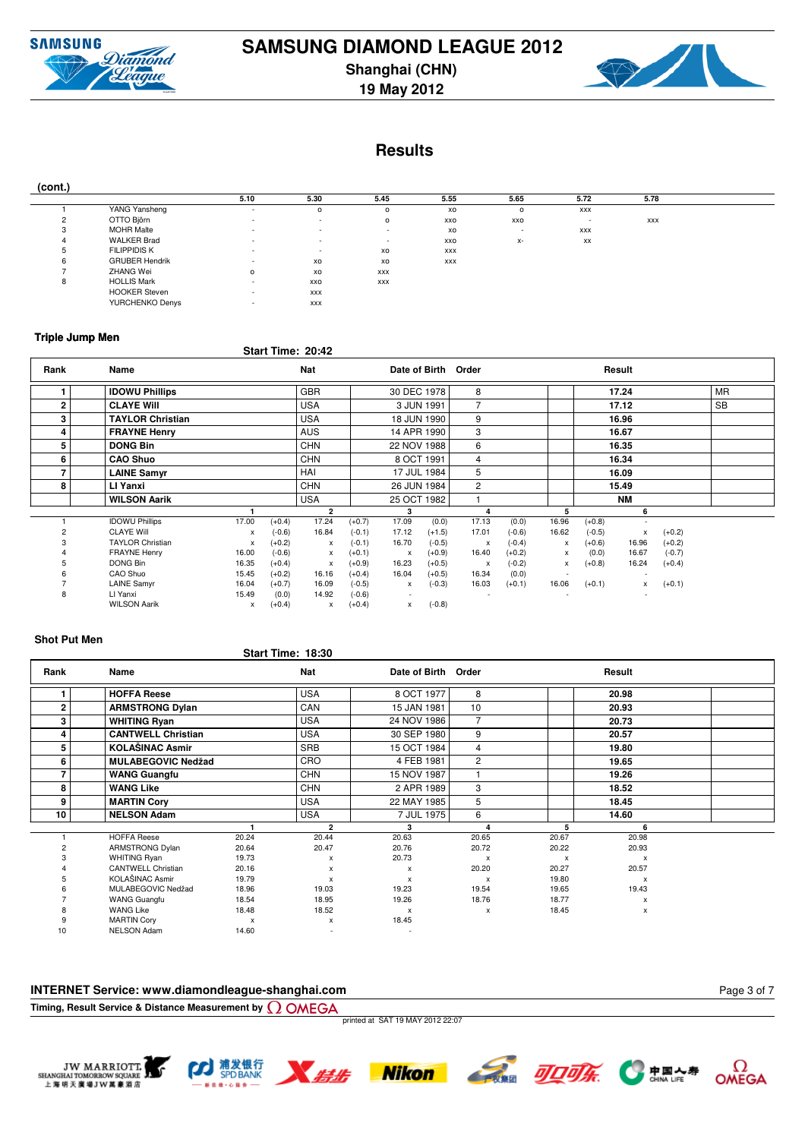

**19 May 2012**



# **Results**

| (cont.) |                       |                          |                          |             |      |                          |            |            |  |
|---------|-----------------------|--------------------------|--------------------------|-------------|------|--------------------------|------------|------------|--|
|         |                       | 5.10                     | 5.30                     | 5.45        | 5.55 | 5.65                     | 5.72       | 5.78       |  |
|         | YANG Yansheng         | ٠                        |                          | $\Omega$    | XO   |                          | <b>XXX</b> |            |  |
|         | OTTO Björn            | $\overline{\phantom{a}}$ | $\sim$                   | $\Omega$    | XXO  | XXO                      |            | <b>XXX</b> |  |
|         | <b>MOHR Malte</b>     | $\overline{\phantom{a}}$ | $\sim$                   | <b>1999</b> | XO   | $\overline{\phantom{a}}$ | XXX        |            |  |
|         | <b>WALKER Brad</b>    | $\overline{\phantom{a}}$ | $\overline{\phantom{a}}$ |             | XXO  | х-                       | XX         |            |  |
|         | <b>FILIPPIDIS K</b>   | $\overline{\phantom{a}}$ | $\overline{\phantom{a}}$ | XO          | XXX  |                          |            |            |  |
|         | <b>GRUBER Hendrik</b> | $\overline{\phantom{a}}$ | XO                       | XO          | XXX  |                          |            |            |  |
|         | ZHANG Wei             | $\circ$                  | XO                       | <b>XXX</b>  |      |                          |            |            |  |
|         | <b>HOLLIS Mark</b>    | $\overline{\phantom{a}}$ | <b>XXO</b>               | <b>XXX</b>  |      |                          |            |            |  |
|         | <b>HOOKER Steven</b>  | $\overline{\phantom{a}}$ | <b>XXX</b>               |             |      |                          |            |            |  |
|         | YURCHENKO Denys       | $\overline{\phantom{a}}$ | <b>XXX</b>               |             |      |                          |            |            |  |

## **Triple Jump Men**

# **Start Time: 20:42**

| Rank        | Name                    |       |          | <b>Nat</b>     |          |              |             | Date of Birth Order       |          |              |          | Result    |          |           |  |
|-------------|-------------------------|-------|----------|----------------|----------|--------------|-------------|---------------------------|----------|--------------|----------|-----------|----------|-----------|--|
|             | <b>IDOWU Phillips</b>   |       |          | <b>GBR</b>     |          | 30 DEC 1978  |             | 8                         |          |              |          | 17.24     |          | <b>MR</b> |  |
| $\mathbf 2$ | <b>CLAYE Will</b>       |       |          | <b>USA</b>     |          |              | 3 JUN 1991  | 7                         |          |              |          | 17.12     |          | <b>SB</b> |  |
| 3           | <b>TAYLOR Christian</b> |       |          | <b>USA</b>     |          |              | 18 JUN 1990 | 9                         |          |              |          | 16.96     |          |           |  |
| 4           | <b>FRAYNE Henry</b>     |       |          | <b>AUS</b>     |          |              | 14 APR 1990 | 3                         |          |              |          | 16.67     |          |           |  |
| 5           | <b>DONG Bin</b>         |       |          | <b>CHN</b>     |          | 22 NOV 1988  |             | 6                         |          |              |          | 16.35     |          |           |  |
| 6           | <b>CAO Shuo</b>         |       |          | <b>CHN</b>     |          |              | 8 OCT 1991  | 4                         |          |              |          | 16.34     |          |           |  |
|             | <b>LAINE Samyr</b>      |       |          | HAI            |          |              | 17 JUL 1984 | 5                         |          |              |          | 16.09     |          |           |  |
| 8           | LI Yanxi                |       |          | <b>CHN</b>     |          |              | 26 JUN 1984 | $\overline{c}$            |          |              |          | 15.49     |          |           |  |
|             | <b>WILSON Aarik</b>     |       |          | <b>USA</b>     |          | 25 OCT 1982  |             |                           |          |              |          | <b>NM</b> |          |           |  |
|             |                         |       |          | $\overline{2}$ |          | 3            |             | 4                         |          | 5            |          | 6         |          |           |  |
|             | <b>IDOWU Phillips</b>   | 17.00 | $(+0.4)$ | 17.24          | $(+0.7)$ | 17.09        | (0.0)       | 17.13                     | (0.0)    | 16.96        | $(+0.8)$ |           |          |           |  |
| 2           | <b>CLAYE Will</b>       | x     | $(-0.6)$ | 16.84          | $(-0.1)$ | 17.12        | $(+1.5)$    | 17.01                     | $(-0.6)$ | 16.62        | $(-0.5)$ | x         | $(+0.2)$ |           |  |
|             | <b>TAYLOR Christian</b> | x     | $(+0.2)$ | x              | $(-0.1)$ | 16.70        | $(-0.5)$    | $\boldsymbol{\mathsf{x}}$ | $(-0.4)$ | x            | $(+0.6)$ | 16.96     | $(+0.2)$ |           |  |
|             | <b>FRAYNE Henry</b>     | 16.00 | $(-0.6)$ | x              | $(+0.1)$ | $\mathsf{x}$ | $(+0.9)$    | 16.40                     | $(+0.2)$ | $\mathsf{x}$ | (0.0)    | 16.67     | $(-0.7)$ |           |  |
|             | DONG Bin                | 16.35 | $(+0.4)$ | $\mathsf{x}$   | $(+0.9)$ | 16.23        | $(+0.5)$    | $\boldsymbol{\mathsf{x}}$ | $(-0.2)$ | $\mathsf{x}$ | $(+0.8)$ | 16.24     | $(+0.4)$ |           |  |
|             | CAO Shuo                | 15.45 | $(+0.2)$ | 16.16          | $(+0.4)$ | 16.04        | $(+0.5)$    | 16.34                     | (0.0)    |              |          |           |          |           |  |
|             | <b>LAINE Samyr</b>      | 16.04 | $(+0.7)$ | 16.09          | $(-0.5)$ | x            | $(-0.3)$    | 16.03                     | $(+0.1)$ | 16.06        | $(+0.1)$ | <b>X</b>  | $(+0.1)$ |           |  |
| 8           | LI Yanxi                | 15.49 | (0.0)    | 14.92          | $(-0.6)$ |              |             |                           |          |              |          |           |          |           |  |
|             | <b>WILSON Aarik</b>     | x     | $(+0.4)$ | x              | $(+0.4)$ | x            | $(-0.8)$    |                           |          |              |          |           |          |           |  |

## **Shot Put Men**

# **Start Time: 18:30**

| Rank           | Name                      |       | Nat            | Date of Birth             | Order                     |       | Result       |  |
|----------------|---------------------------|-------|----------------|---------------------------|---------------------------|-------|--------------|--|
|                | <b>HOFFA Reese</b>        |       | <b>USA</b>     | 8 OCT 1977                | 8                         |       | 20.98        |  |
| $\overline{2}$ | <b>ARMSTRONG Dylan</b>    |       | CAN            | 15 JAN 1981               | 10                        |       | 20.93        |  |
| 3              | <b>WHITING Ryan</b>       |       | <b>USA</b>     | 24 NOV 1986               | 7                         |       | 20.73        |  |
| 4              | <b>CANTWELL Christian</b> |       | <b>USA</b>     | 30 SEP 1980               | 9                         |       | 20.57        |  |
| 5              | <b>KOLAŠINAC Asmir</b>    |       | <b>SRB</b>     | 15 OCT 1984               | 4                         |       | 19.80        |  |
| 6              | <b>MULABEGOVIC Nedžad</b> |       | <b>CRO</b>     | 4 FEB 1981                | $\overline{2}$            |       | 19.65        |  |
|                | <b>WANG Guangfu</b>       |       | <b>CHN</b>     | 15 NOV 1987               |                           |       | 19.26        |  |
| 8              | <b>WANG Like</b>          |       | <b>CHN</b>     | 2 APR 1989                | 3                         |       | 18.52        |  |
| 9              | <b>MARTIN Cory</b>        |       | <b>USA</b>     | 22 MAY 1985               | 5                         |       | 18.45        |  |
| 10             | <b>NELSON Adam</b>        |       | <b>USA</b>     | 7 JUL 1975                | 6                         |       | 14.60        |  |
|                |                           | м     | $\overline{2}$ | 3                         | $\Delta$                  | 5     | 6            |  |
|                | <b>HOFFA Reese</b>        | 20.24 | 20.44          | 20.63                     | 20.65                     | 20.67 | 20.98        |  |
|                | ARMSTRONG Dylan           | 20.64 | 20.47          | 20.76                     | 20.72                     | 20.22 | 20.93        |  |
|                | <b>WHITING Ryan</b>       | 19.73 | x              | 20.73                     | $\boldsymbol{\mathsf{x}}$ | X     | $\mathsf{x}$ |  |
|                | <b>CANTWELL Christian</b> | 20.16 | $\mathsf{x}$   | $\boldsymbol{\mathsf{x}}$ | 20.20                     | 20.27 | 20.57        |  |
|                | KOLAŠINAC Asmir           | 19.79 | X              | $\boldsymbol{\mathsf{x}}$ | X                         | 19.80 | X            |  |
|                | MULABEGOVIC Nedžad        | 18.96 | 19.03          | 19.23                     | 19.54                     | 19.65 | 19.43        |  |
|                | <b>WANG Guangfu</b>       | 18.54 | 18.95          | 19.26                     | 18.76                     | 18.77 | x            |  |
|                | <b>WANG Like</b>          | 18.48 | 18.52          | $\boldsymbol{\mathsf{x}}$ | x                         | 18.45 | x            |  |
|                | <b>MARTIN Cory</b>        | X     | x              | 18.45                     |                           |       |              |  |
| 10             | <b>NELSON Adam</b>        | 14.60 |                |                           |                           |       |              |  |

### **INTERNET Service: www.diamondleague-shanghai.com**

**Timing, Result Service & Distance Measurement by**

printed at SAT 19 MAY 2012 22:07











 $\Omega$ OMEGA

Page 3 of 7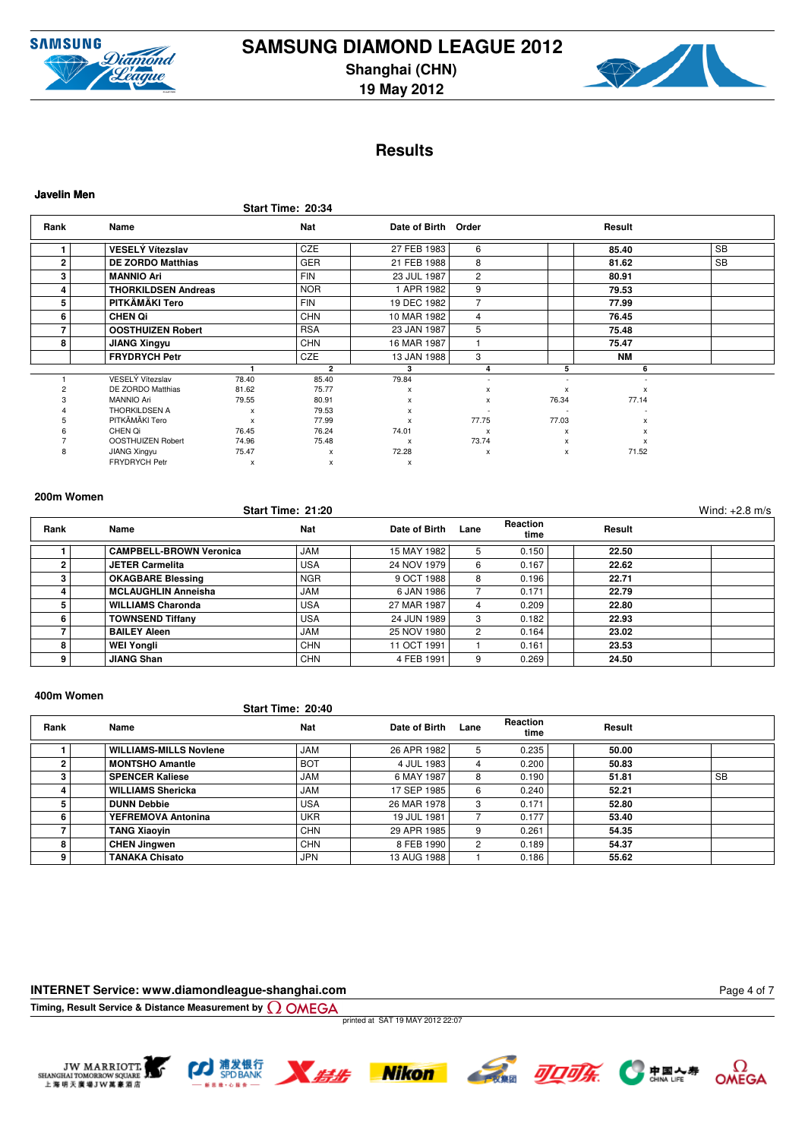



# **Results**

|             |                            |       | Start Time: 20:34 |                     |                           |        |                           |           |
|-------------|----------------------------|-------|-------------------|---------------------|---------------------------|--------|---------------------------|-----------|
| Rank        | Name                       |       | <b>Nat</b>        | Date of Birth Order |                           |        | Result                    |           |
|             | <b>VESELÝ Vítezslav</b>    |       | <b>CZE</b>        | 27 FEB 1983         | 6                         |        | 85.40                     | <b>SB</b> |
| $\mathbf 2$ | <b>DE ZORDO Matthias</b>   |       | GER               | 21 FEB 1988         | 8                         |        | 81.62                     | <b>SB</b> |
| 3           | <b>MANNIO Ari</b>          |       | <b>FIN</b>        | 23 JUL 1987         | $\overline{2}$            |        | 80.91                     |           |
| 4           | <b>THORKILDSEN Andreas</b> |       | <b>NOR</b>        | 1 APR 1982          | 9                         |        | 79.53                     |           |
| 5           | PITKÄMÄKI Tero             |       | <b>FIN</b>        | 19 DEC 1982         | 7                         |        | 77.99                     |           |
| 6           | <b>CHEN Qi</b>             |       | <b>CHN</b>        | 10 MAR 1982         | 4                         |        | 76.45                     |           |
|             | <b>OOSTHUIZEN Robert</b>   |       | <b>RSA</b>        | 23 JAN 1987         | 5                         |        | 75.48                     |           |
| 8           | <b>JIANG Xingyu</b>        |       | <b>CHN</b>        | 16 MAR 1987         |                           |        | 75.47                     |           |
|             | <b>FRYDRYCH Petr</b>       |       | <b>CZE</b>        | 13 JAN 1988         | 3                         |        | <b>NM</b>                 |           |
|             |                            |       | $\overline{2}$    | 3                   | 4                         | 5      | 6                         |           |
|             | VESELÝ Vítezslav           | 78.40 | 85.40             | 79.84               | $\sim$                    | $\sim$ |                           |           |
|             | DE ZORDO Matthias          | 81.62 | 75.77             | $\mathsf{x}$        | x                         | X      | $\boldsymbol{\mathsf{x}}$ |           |
|             | <b>MANNIO Ari</b>          | 79.55 | 80.91             | x                   | x                         | 76.34  | 77.14                     |           |
|             | THORKILDSEN A              | X     | 79.53             | x                   |                           |        |                           |           |
|             | PITKÄMÄKI Tero             | X     | 77.99             | $\mathsf{x}$        | 77.75                     | 77.03  | X                         |           |
|             | CHEN Qi                    | 76.45 | 76.24             | 74.01               | $\boldsymbol{\mathsf{x}}$ | X      | X                         |           |
|             | <b>OOSTHUIZEN Robert</b>   | 74.96 | 75.48             | $\pmb{\times}$      | 73.74                     | x      | X                         |           |
|             | JIANG Xingyu               | 75.47 | $\mathsf{x}$      | 72.28               | $\pmb{\times}$            | X      | 71.52                     |           |
|             | <b>FRYDRYCH Petr</b>       | x     | x                 | x                   |                           |        |                           |           |

**Javelin Men**

# **Start Time: 21:20** Wind: +2.8 m/s

| Rank | Name                           | Nat        | Date of Birth | Lane          | <b>Reaction</b><br>time | Result |  |
|------|--------------------------------|------------|---------------|---------------|-------------------------|--------|--|
|      | <b>CAMPBELL-BROWN Veronica</b> | <b>JAM</b> | 15 MAY 1982   | 5.            | 0.150                   | 22.50  |  |
|      | <b>JETER Carmelita</b>         | <b>USA</b> | 24 NOV 1979   | 6             | 0.167                   | 22.62  |  |
|      | <b>OKAGBARE Blessing</b>       | <b>NGR</b> | 9 OCT 1988    | 8             | 0.196                   | 22.71  |  |
|      | <b>MCLAUGHLIN Anneisha</b>     | <b>JAM</b> | 6 JAN 1986    |               | 0.171                   | 22.79  |  |
|      | <b>WILLIAMS Charonda</b>       | <b>USA</b> | 27 MAR 1987   |               | 0.209                   | 22.80  |  |
| 6    | <b>TOWNSEND Tiffany</b>        | <b>USA</b> | 24 JUN 1989   | 3             | 0.182                   | 22.93  |  |
|      | <b>BAILEY Aleen</b>            | <b>JAM</b> | 25 NOV 1980   | $\mathcal{P}$ | 0.164                   | 23.02  |  |
| 8    | <b>WEI Yongli</b>              | CHN        | 11 OCT 1991   |               | 0.161                   | 23.53  |  |
| 9    | <b>JIANG Shan</b>              | <b>CHN</b> | 4 FEB 1991    | 9             | 0.269                   | 24.50  |  |

### **400m Women**

## **Start Time: 20:40**

| Rank | Name                          | <b>Nat</b> | Date of Birth | Lane | <b>Reaction</b><br>time | Result |           |
|------|-------------------------------|------------|---------------|------|-------------------------|--------|-----------|
|      | <b>WILLIAMS-MILLS Noviene</b> | <b>JAM</b> | 26 APR 1982   |      | 0.235                   | 50.00  |           |
|      | <b>MONTSHO Amantle</b>        | <b>BOT</b> | 4 JUL 1983    |      | 0.200                   | 50.83  |           |
|      | <b>SPENCER Kaliese</b>        | <b>JAM</b> | 6 MAY 1987    | 8    | 0.190                   | 51.81  | <b>SB</b> |
|      | <b>WILLIAMS Shericka</b>      | <b>JAM</b> | 17 SEP 1985   | 6    | 0.240                   | 52.21  |           |
|      | <b>DUNN Debbie</b>            | <b>USA</b> | 26 MAR 1978   | з    | 0.171                   | 52.80  |           |
|      | YEFREMOVA Antonina            | <b>UKR</b> | 19 JUL 1981   |      | 0.177                   | 53.40  |           |
|      | <b>TANG Xiaovin</b>           | <b>CHN</b> | 29 APR 1985   | 9    | 0.261                   | 54.35  |           |
| 8    | <b>CHEN Jingwen</b>           | <b>CHN</b> | 8 FEB 1990    |      | 0.189                   | 54.37  |           |
| 9    | <b>TANAKA Chisato</b>         | JPN        | 13 AUG 1988   |      | 0.186                   | 55.62  |           |

### **INTERNET Service: www.diamondleague-shanghai.com**

**Timing, Result Service & Distance Measurement by**

printed at SAT 19 MAY 2012 22:07











Page 4 of 7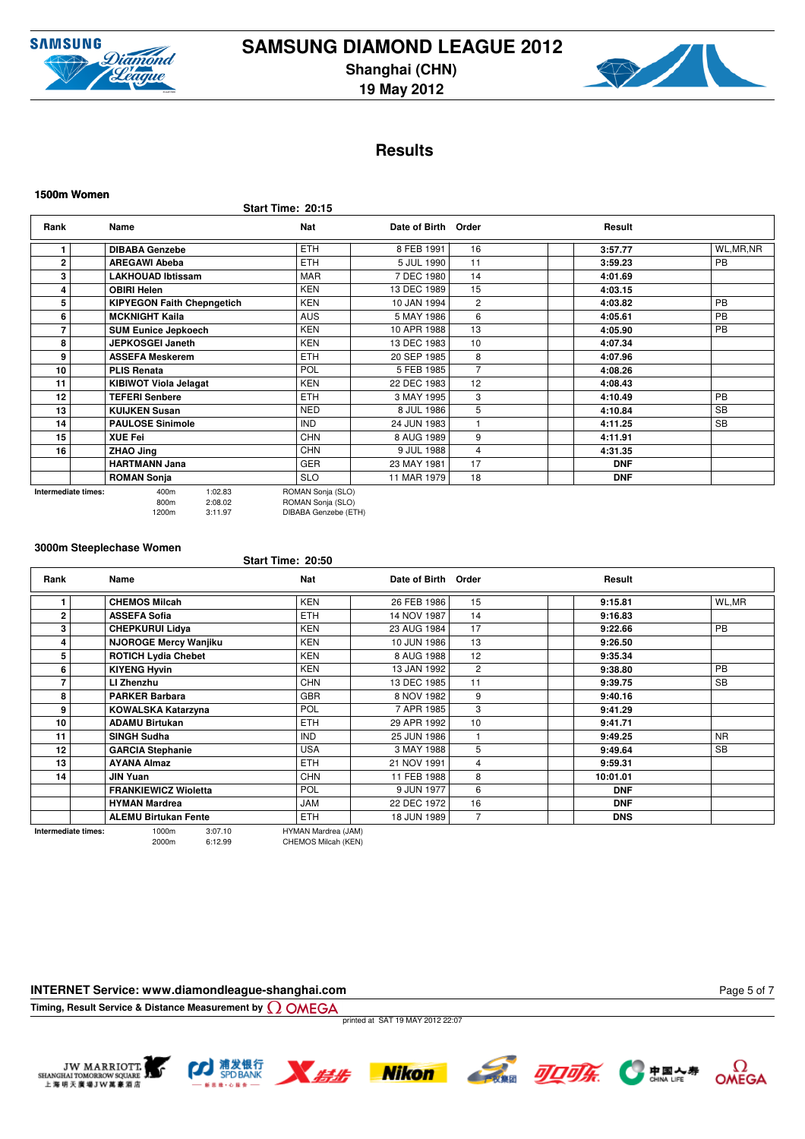



# **Results**

**Start Time: 20:15**

| Rank         | Name                                                        | Nat        | Date of Birth Order |                | Result     |            |  |  |  |  |
|--------------|-------------------------------------------------------------|------------|---------------------|----------------|------------|------------|--|--|--|--|
|              | <b>DIBABA Genzebe</b>                                       | <b>ETH</b> | 8 FEB 1991          | 16             | 3:57.77    | WL, MR, NR |  |  |  |  |
| $\mathbf{2}$ | <b>AREGAWI Abeba</b>                                        | <b>ETH</b> | 5 JUL 1990          | 11             | 3:59.23    | <b>PB</b>  |  |  |  |  |
| 3            | <b>LAKHOUAD Ibtissam</b>                                    | <b>MAR</b> | 7 DEC 1980          | 14             | 4:01.69    |            |  |  |  |  |
| 4            | <b>OBIRI Helen</b>                                          | <b>KEN</b> | 13 DEC 1989         | 15             | 4:03.15    |            |  |  |  |  |
| 5            | <b>KIPYEGON Faith Chepngetich</b>                           | <b>KEN</b> | 10 JAN 1994         | $\overline{c}$ | 4:03.82    | <b>PB</b>  |  |  |  |  |
| 6            | <b>MCKNIGHT Kaila</b>                                       | <b>AUS</b> | 5 MAY 1986          | 6              | 4:05.61    | PB         |  |  |  |  |
|              | <b>SUM Eunice Jepkoech</b>                                  | <b>KEN</b> | 10 APR 1988         | 13             | 4:05.90    | PB         |  |  |  |  |
| 8            | <b>JEPKOSGEI Janeth</b>                                     | <b>KEN</b> | 13 DEC 1983         | 10             | 4:07.34    |            |  |  |  |  |
| 9            | <b>ASSEFA Meskerem</b>                                      | <b>ETH</b> | 20 SEP 1985         | 8              | 4:07.96    |            |  |  |  |  |
| 10           | <b>PLIS Renata</b>                                          | <b>POL</b> | 5 FEB 1985          | 7              | 4:08.26    |            |  |  |  |  |
| 11           | <b>KIBIWOT Viola Jelagat</b>                                | <b>KEN</b> | 22 DEC 1983         | 12             | 4:08.43    |            |  |  |  |  |
| 12           | <b>TEFERI Senbere</b>                                       | <b>ETH</b> | 3 MAY 1995          | 3              | 4:10.49    | <b>PB</b>  |  |  |  |  |
| 13           | <b>KUIJKEN Susan</b>                                        | <b>NED</b> | 8 JUL 1986          | 5              | 4:10.84    | <b>SB</b>  |  |  |  |  |
| 14           | <b>PAULOSE Sinimole</b>                                     | <b>IND</b> | 24 JUN 1983         |                | 4:11.25    | <b>SB</b>  |  |  |  |  |
| 15           | <b>XUE Fei</b>                                              | <b>CHN</b> | 8 AUG 1989          | 9              | 4:11.91    |            |  |  |  |  |
| 16           | ZHAO Jing                                                   | <b>CHN</b> | 9 JUL 1988          | 4              | 4:31.35    |            |  |  |  |  |
|              | <b>HARTMANN Jana</b>                                        | <b>GER</b> | 23 MAY 1981         | 17             | <b>DNF</b> |            |  |  |  |  |
|              | <b>ROMAN Sonja</b>                                          | <b>SLO</b> | 11 MAR 1979         | 18             | <b>DNF</b> |            |  |  |  |  |
|              | 1:02.83<br>ROMAN Sonja (SLO)<br>400m<br>Intermediate times: |            |                     |                |            |            |  |  |  |  |

800m 2:08.02 ROMAN Sonja (SLO) 1120m 3:11.97 (CDC)

**Start Time: 20:50**

#### **3000m Steeplechase Women**

**Rank Name Nat Date of Birth Order <b>Result** Result **1 CHEMOS Milcah** KEN 26 FEB 1986 15 **9:15.81** WL,MR **2 ASSEFA Sofia** ETH 14 NOV 1987 14 **9:16.83 3 CHEPKURUI Lidya** KEN 23 AUG 1984 17 **9:22.66** PB **4 NJOROGE Mercy Wanjiku** KEN 10 JUN 1986 13 **9:26.50 5 ROTICH Lydia Chebet** KEN 8 AUG 1988 12 **9:35.34 6 KIYENG Hyvin** KEN 13 JAN 1992 2 **9:38.80** PB **7 LI Zhenzhu** CHN 13 DEC 1985 11 **9:39.75** SB **8 PARKER Barbara GBR** 8 NOV 1982 9 9:40.16 **9 KOWALSKA Katarzyna** POL 7 APR 1985 3 **9:41.29 10 ADAMU Birtukan** ETH 29 APR 1992 10 **9:41.71 11 SINGH Sudha** IND 25 JUN 1986 1 **9:49.25** NR **12 GARCIA Stephanie** USA 3 MAY 1988 5 **9:49.64** SB **13 AYANA Almaz** ETH 21 NOV 1991 4 **9:59.31 14 JIN Yuan** CHN 11 FEB 1988 8 **10:01.01 FRANKIEWICZ Wioletta POL 9 JUN 1977 6 DNF HYMAN Mardrea** JAM 22 DEC 1972 16 **DNF ALEMU Birtukan Fente** ETH 18 JUN 1989 7 **DNS**

**Intermediate times:** 1000m 3:07.10 HYMAN Mardrea (JAM) 2000m 6:12.99 CHEMOS Milcah (KEN)

**INTERNET Service: www.diamondleague-shanghai.com**

**Timing, Result Service & Distance Measurement by**

printed at SAT 19 MAY 2012 22:07











Page 5 of 7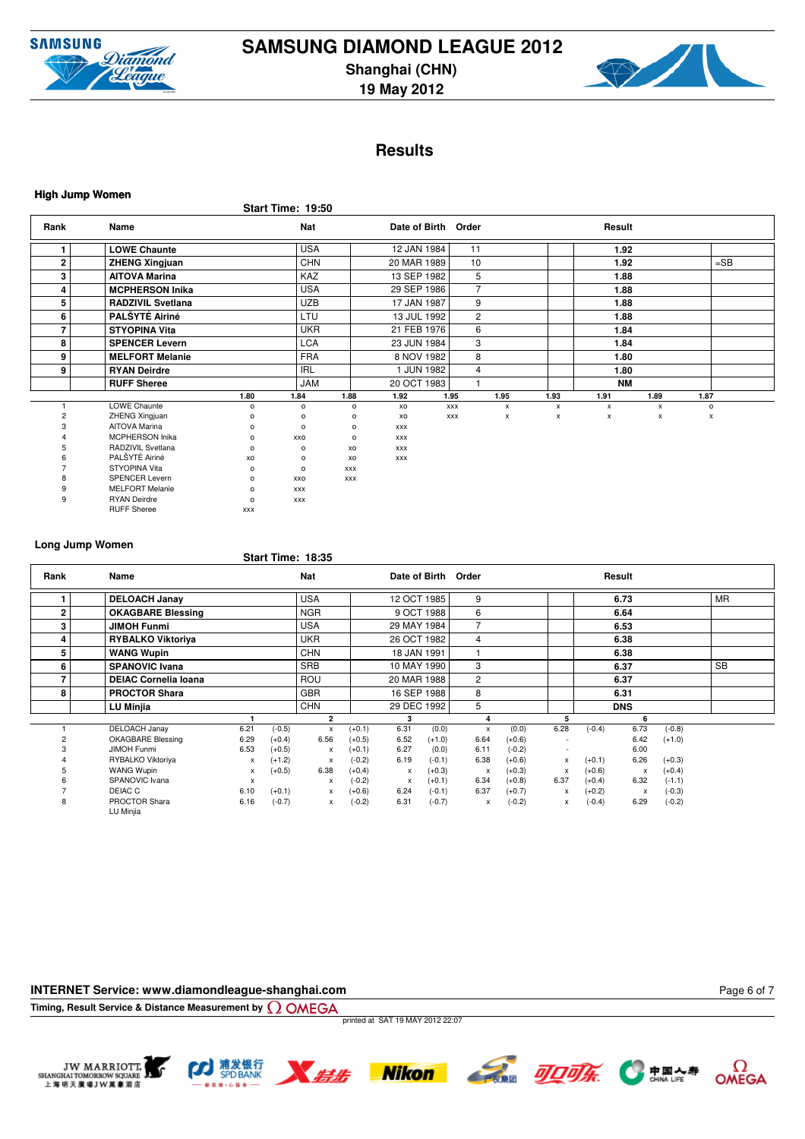



# **Results**

| <b>High Jump Women</b> |                          |            |                   |                |               |            |                |              |                    |              |      |                |        |  |
|------------------------|--------------------------|------------|-------------------|----------------|---------------|------------|----------------|--------------|--------------------|--------------|------|----------------|--------|--|
|                        |                          |            | Start Time: 19:50 |                |               |            |                |              |                    |              |      |                |        |  |
| Rank                   | Name                     |            | Nat               |                | Date of Birth |            | Order          |              |                    | Result       |      |                |        |  |
| 1                      | <b>LOWE Chaunte</b>      |            | <b>USA</b>        |                | 12 JAN 1984   |            | 11             |              |                    | 1.92         |      |                |        |  |
| 2                      | <b>ZHENG Xingjuan</b>    |            | CHN               |                | 20 MAR 1989   |            | 10             |              |                    | 1.92         |      |                | $=$ SB |  |
| 3                      | <b>AITOVA Marina</b>     |            | KAZ               |                | 13 SEP 1982   |            | 5              |              |                    | 1.88         |      |                |        |  |
| 4                      | <b>MCPHERSON Inika</b>   |            | <b>USA</b>        |                | 29 SEP 1986   |            | $\overline{7}$ |              |                    | 1.88         |      |                |        |  |
| 5                      | <b>RADZIVIL Svetlana</b> |            | <b>UZB</b>        |                | 17 JAN 1987   |            | 9              |              |                    | 1.88         |      |                |        |  |
| 6                      | PALŠYTÉ Airiné           |            | LTU               |                | 13 JUL 1992   |            | $\overline{c}$ |              |                    | 1.88         |      |                |        |  |
| 7                      | <b>STYOPINA Vita</b>     |            | <b>UKR</b>        |                | 21 FEB 1976   |            | 6              |              |                    | 1.84         |      |                |        |  |
| 8                      | <b>SPENCER Levern</b>    |            | <b>LCA</b>        |                | 23 JUN 1984   |            | 3              |              |                    | 1.84         |      |                |        |  |
| 9                      | <b>MELFORT Melanie</b>   |            | <b>FRA</b>        |                | 8 NOV 1982    |            | 8              |              |                    | 1.80         |      |                |        |  |
| 9                      | <b>RYAN Deirdre</b>      |            | <b>IRL</b>        |                | 1 JUN 1982    |            | $\overline{4}$ |              |                    | 1.80         |      |                |        |  |
|                        | <b>RUFF Sheree</b>       |            | <b>JAM</b>        |                | 20 OCT 1983   |            | $\overline{ }$ |              |                    | <b>NM</b>    |      |                |        |  |
|                        |                          | 1.80       | 1.84              | 1.88           | 1.92          | 1.95       |                | 1.95         | 1.93               | 1.91         | 1.89 | 1.87           |        |  |
|                        | <b>LOWE Chaunte</b>      | $\circ$    | $\mathsf{o}\,$    | $\mathsf{o}\,$ | XO            | <b>XXX</b> |                | $\pmb{\chi}$ | $\pmb{\mathsf{x}}$ | $\pmb{\chi}$ | x    | $\mathsf{o}\,$ |        |  |
| $\overline{c}$         | <b>ZHENG Xingjuan</b>    | $\circ$    | $\circ$           | $\circ$        | XO            | <b>XXX</b> |                | x            | x                  | x            | x    |                | х      |  |
|                        | AITOVA Marina            | $\circ$    | $\circ$           | o              | <b>XXX</b>    |            |                |              |                    |              |      |                |        |  |
|                        | <b>MCPHERSON Inika</b>   | $\circ$    | XXO               | о              | <b>XXX</b>    |            |                |              |                    |              |      |                |        |  |
|                        | RADZIVIL Svetlana        | $\circ$    | $\circ$           | XO             | <b>XXX</b>    |            |                |              |                    |              |      |                |        |  |
|                        | PALŠYTÉ Airiné           | XO         | $\circ$           | XO             | <b>XXX</b>    |            |                |              |                    |              |      |                |        |  |
|                        | STYOPINA Vita            | $\circ$    | $\circ$           | <b>XXX</b>     |               |            |                |              |                    |              |      |                |        |  |
|                        | <b>SPENCER Levern</b>    | $\circ$    | XXO               | <b>XXX</b>     |               |            |                |              |                    |              |      |                |        |  |
| 9                      | <b>MELFORT Melanie</b>   | $\circ$    | <b>XXX</b>        |                |               |            |                |              |                    |              |      |                |        |  |
| 9                      | <b>RYAN Deirdre</b>      | $\circ$    | <b>XXX</b>        |                |               |            |                |              |                    |              |      |                |        |  |
|                        | <b>RUFF Sheree</b>       | <b>XXX</b> |                   |                |               |            |                |              |                    |              |      |                |        |  |

# **Long Jump Women**

#### **Start Time: 18:35**

| Rank           | Name                        |                           |          | <b>Nat</b>     |          |              |             | Date of Birth Order |          |                |          | Result       |          |           |  |
|----------------|-----------------------------|---------------------------|----------|----------------|----------|--------------|-------------|---------------------|----------|----------------|----------|--------------|----------|-----------|--|
|                | <b>DELOACH Janay</b>        |                           |          | <b>USA</b>     |          |              | 12 OCT 1985 | 9                   |          |                |          | 6.73         |          | <b>MR</b> |  |
| $\overline{2}$ | <b>OKAGBARE Blessing</b>    |                           |          | <b>NGR</b>     |          |              | 9 OCT 1988  | 6                   |          |                |          | 6.64         |          |           |  |
| 3              | <b>JIMOH Funmi</b>          |                           |          | <b>USA</b>     |          | 29 MAY 1984  |             | 7                   |          |                |          | 6.53         |          |           |  |
| 4              | <b>RYBALKO Viktoriya</b>    |                           |          | <b>UKR</b>     |          | 26 OCT 1982  |             | 4                   |          |                |          | 6.38         |          |           |  |
| 5              | <b>WANG Wupin</b>           |                           |          | <b>CHN</b>     |          |              | 18 JAN 1991 |                     |          |                |          | 6.38         |          |           |  |
| 6              | <b>SPANOVIC Ivana</b>       |                           |          | <b>SRB</b>     |          |              | 10 MAY 1990 | 3                   |          |                |          | 6.37         |          | <b>SB</b> |  |
|                | <b>DEIAC Cornelia Ioana</b> |                           |          | <b>ROU</b>     |          | 20 MAR 1988  |             | 2                   |          |                |          | 6.37         |          |           |  |
| 8              | <b>PROCTOR Shara</b>        |                           |          | <b>GBR</b>     |          |              | 16 SEP 1988 | 8                   |          |                |          | 6.31         |          |           |  |
|                | LU Minjia                   |                           |          | <b>CHN</b>     |          |              | 29 DEC 1992 | 5                   |          |                |          | <b>DNS</b>   |          |           |  |
|                |                             |                           |          | $\overline{2}$ |          | 3            |             | 4                   |          |                |          | 6            |          |           |  |
|                | <b>DELOACH Janay</b>        | 6.21                      | $(-0.5)$ | x              | $(+0.1)$ | 6.31         | (0.0)       | $\mathsf{x}$        | (0.0)    | 6.28           | $(-0.4)$ | 6.73         | $(-0.8)$ |           |  |
|                | <b>OKAGBARE Blessing</b>    | 6.29                      | $(+0.4)$ | 6.56           | $(+0.5)$ | 6.52         | $(+1.0)$    | 6.64                | $(+0.6)$ | $\overline{a}$ |          | 6.42         | $(+1.0)$ |           |  |
|                | <b>JIMOH Funmi</b>          | 6.53                      | $(+0.5)$ | $\mathsf{x}$   | $(+0.1)$ | 6.27         | (0.0)       | 6.11                | $(-0.2)$ | $\sim$         |          | 6.00         |          |           |  |
|                | RYBALKO Viktoriya           | $\mathsf{x}$              | $(+1.2)$ | $\mathsf{x}$   | $(-0.2)$ | 6.19         | $(-0.1)$    | 6.38                | $(+0.6)$ | X              | $(+0.1)$ | 6.26         | $(+0.3)$ |           |  |
|                | WANG Wupin                  | x                         | $(+0.5)$ | 6.38           | $(+0.4)$ | $\mathsf{x}$ | $(+0.3)$    | $\mathsf{x}$        | $(+0.3)$ | X              | $(+0.6)$ | $\mathsf{x}$ | $(+0.4)$ |           |  |
|                | SPANOVIC Ivana              | $\boldsymbol{\mathsf{x}}$ |          | x              | $(-0.2)$ | $\mathsf{x}$ | $(+0.1)$    | 6.34                | $(+0.8)$ | 6.37           | $(+0.4)$ | 6.32         | $(-1.1)$ |           |  |
|                | DEIAC C                     | 6.10                      | $(+0.1)$ | $\mathsf{x}$   | $(+0.6)$ | 6.24         | $(-0.1)$    | 6.37                | $(+0.7)$ | X              | $(+0.2)$ | $\mathsf{x}$ | $(-0.3)$ |           |  |
| 8              | PROCTOR Shara<br>LU Minjia  | 6.16                      | $(-0.7)$ | $\mathsf{x}$   | $(-0.2)$ | 6.31         | $(-0.7)$    | x                   | $(-0.2)$ | x              | $(-0.4)$ | 6.29         | $(-0.2)$ |           |  |

### **INTERNET Service: www.diamondleague-shanghai.com**

**Timing, Result Service & Distance Measurement by**

printed at SAT 19 MAY 2012 22:07